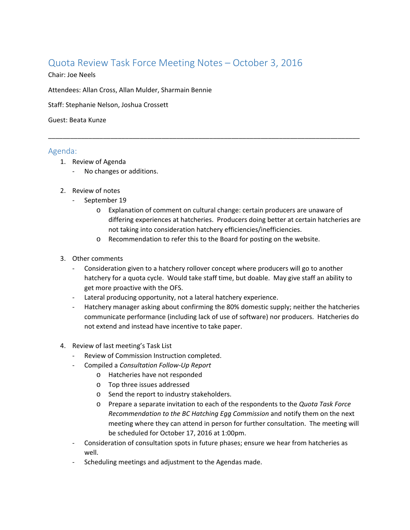## Quota Review Task Force Meeting Notes – October 3, 2016

Chair: Joe Neels

Attendees: Allan Cross, Allan Mulder, Sharmain Bennie

Staff: Stephanie Nelson, Joshua Crossett

Guest: Beata Kunze

## Agenda:

- 1. Review of Agenda
	- ‐ No changes or additions.
- 2. Review of notes
	- ‐ September 19
		- o Explanation of comment on cultural change: certain producers are unaware of differing experiences at hatcheries. Producers doing better at certain hatcheries are not taking into consideration hatchery efficiencies/inefficiencies.
		- o Recommendation to refer this to the Board for posting on the website.

\_\_\_\_\_\_\_\_\_\_\_\_\_\_\_\_\_\_\_\_\_\_\_\_\_\_\_\_\_\_\_\_\_\_\_\_\_\_\_\_\_\_\_\_\_\_\_\_\_\_\_\_\_\_\_\_\_\_\_\_\_\_\_\_\_\_\_\_\_\_\_\_\_\_\_\_\_\_\_\_\_\_\_\_\_

- 3. Other comments
	- ‐ Consideration given to a hatchery rollover concept where producers will go to another hatchery for a quota cycle. Would take staff time, but doable. May give staff an ability to get more proactive with the OFS.
	- ‐ Lateral producing opportunity, not a lateral hatchery experience.
	- ‐ Hatchery manager asking about confirming the 80% domestic supply; neither the hatcheries communicate performance (including lack of use of software) nor producers. Hatcheries do not extend and instead have incentive to take paper.
- 4. Review of last meeting's Task List
	- ‐ Review of Commission Instruction completed.
	- ‐ Compiled a *Consultation Follow‐Up Report*
		- o Hatcheries have not responded
		- o Top three issues addressed
		- o Send the report to industry stakeholders.
		- o Prepare a separate invitation to each of the respondents to the *Quota Task Force Recommendation to the BC Hatching Egg Commission* and notify them on the next meeting where they can attend in person for further consultation. The meeting will be scheduled for October 17, 2016 at 1:00pm.
	- ‐ Consideration of consultation spots in future phases; ensure we hear from hatcheries as well.
	- ‐ Scheduling meetings and adjustment to the Agendas made.